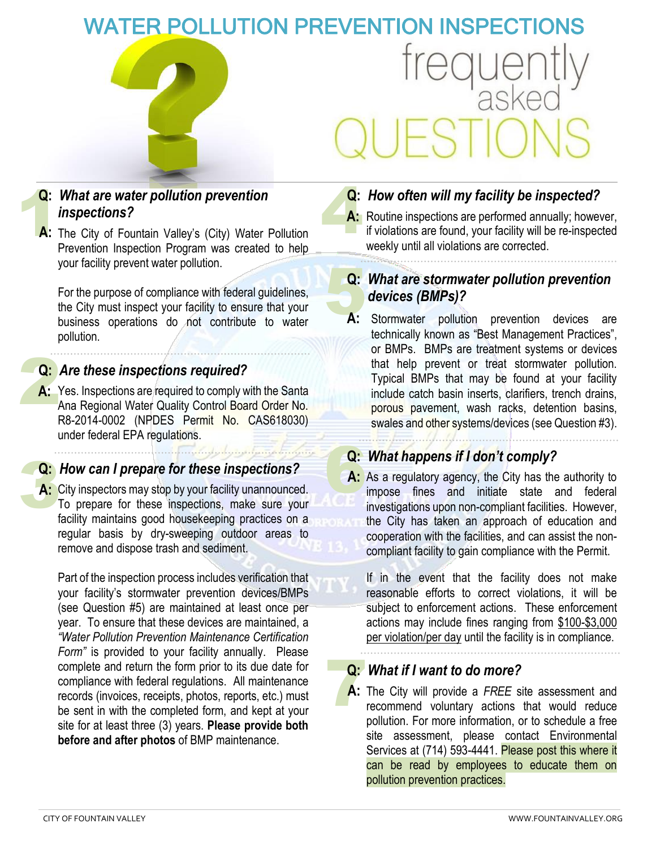## WATER POLLUTION PREVENTION INSPECTIONS



# **Q:**<br>A:

## **Q: What are water pollution prevention inspections?**<br> **A:** The City of Fountain Valley's (City) Water F *inspections?*

A: The City of Fountain Valley's (City) Water Pollution Prevention Inspection Program was created to help your facility prevent water pollution.

For the purpose of compliance with federal guidelines, the City must inspect your facility to ensure that your business operations do not contribute to water pollution.

#### **Q:** *Are these inspections required?*

2<br>2<br>3<br>4: A: Yes. Inspections are required to comply with the Santa Ana Regional Water Quality Control Board Order No. R8-2014-0002 (NPDES Permit No. CAS618030) under federal EPA regulations.

**Q:** *How can I prepare for these inspections?***<br>A: City inspectors may stop by your facility unannounce**<br>To prepare for these inspections, make sure yo A: City inspectors may stop by your facility unannounced. To prepare for these inspections, make sure your facility maintains good housekeeping practices on a regular basis by dry-sweeping outdoor areas to remove and dispose trash and sediment.

> Part of the inspection process includes verification that your facility's stormwater prevention devices/BMPs (see Question #5) are maintained at least once per year. To ensure that these devices are maintained, a *"Water Pollution Prevention Maintenance Certification Form"* is provided to your facility annually. Please complete and return the form prior to its due date for compliance with federal regulations. All maintenance records (invoices, receipts, photos, reports, etc.) must be sent in with the completed form, and kept at your site for at least three (3) years. **Please provide both before and after photos** of BMP maintenance.

#### **Q:** *How often will my facility be inspected?*

A: Routine inspections are performed annually; however, if violations are found, your facility will be re-inspected weekly until all violations are corrected.

### **Q**: **Q:** *What are stormwater pollution prevention devices (BMPs)?*

**A:** Stormwater pollution prevention devices are technically known as "Best Management Practices", or BMPs. BMPs are treatment systems or devices that help prevent or treat stormwater pollution. Typical BMPs that may be found at your facility include catch basin inserts, clarifiers, trench drains, porous pavement, wash racks, detention basins, swales and other systems/devices (see Question #3).

#### **Q:** *What happens if I don't comply?*

Q:<br>A: A: As a regulatory agency, the City has the authority to impose fines and initiate state and federal investigations upon non-compliant facilities. However, the City has taken an approach of education and cooperation with the facilities, and can assist the noncompliant facility to gain compliance with the Permit.

> If in the event that the facility does not make reasonable efforts to correct violations, it will be subject to enforcement actions. These enforcement actions may include fines ranging from \$100-\$3,000 per violation/per day until the facility is in compliance.

#### **Q:** *What if I want to do more?*

**Q:**<br>A: A: The City will provide a FREE site assessment and recommend voluntary actions that would reduce pollution. For more information, or to schedule a free site assessment, please contact Environmental Services at (714) 593-4441. Please post this where it can be read by employees to educate them on pollution prevention practices.